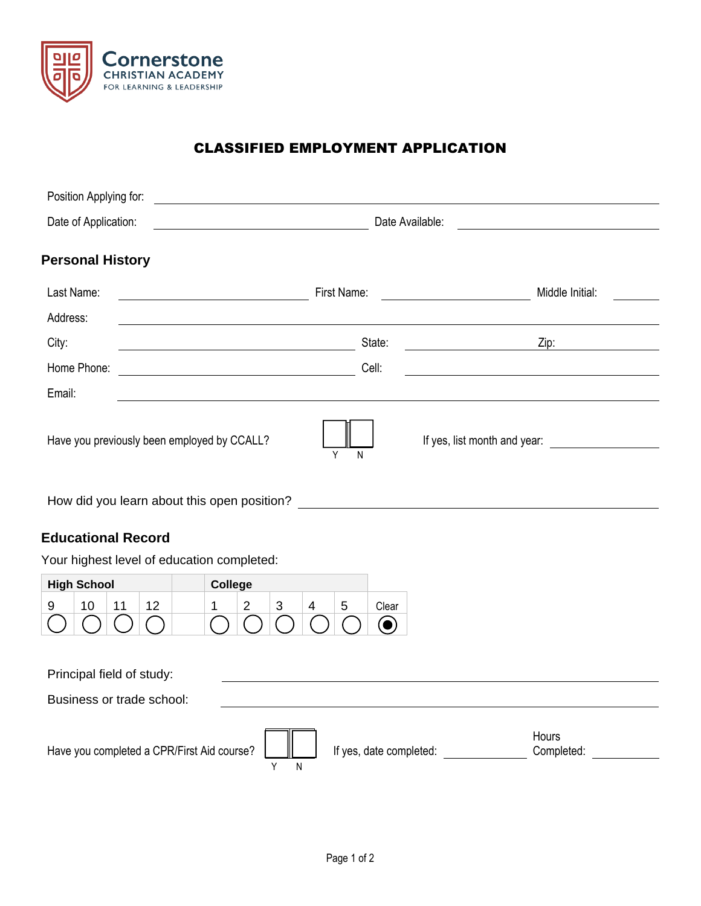

## CLASSIFIED EMPLOYMENT APPLICATION

| Position Applying for:                           |             |                                                                                                                                         |
|--------------------------------------------------|-------------|-----------------------------------------------------------------------------------------------------------------------------------------|
| Date of Application:                             |             | Date Available:                                                                                                                         |
| <b>Personal History</b>                          |             |                                                                                                                                         |
| Last Name:                                       | First Name: | Middle Initial:<br><u> 1989 - Jan Stein Stein Stein Stein Stein Stein Stein Stein Stein Stein Stein Stein Stein Stein Stein Stein S</u> |
| Address:                                         |             |                                                                                                                                         |
| City:<br><u> 1980 - Johann Barbara, martin d</u> | State:      | Zip:                                                                                                                                    |
| Home Phone:                                      | Cell:       |                                                                                                                                         |
| Email:                                           |             |                                                                                                                                         |
| Have you previously been employed by CCALL?      | Υ<br>N      | If yes, list month and year:                                                                                                            |

How did you learn about this open position?

## **Educational Record**

Your highest level of education completed:

| <b>High School</b> |  | College |   |   |      |
|--------------------|--|---------|---|---|------|
|                    |  |         | ົ | ∽ | earٽ |
|                    |  |         |   |   |      |

| Principal field of study:                  |   |                         |                            |  |  |  |
|--------------------------------------------|---|-------------------------|----------------------------|--|--|--|
| Business or trade school:                  |   |                         |                            |  |  |  |
|                                            |   |                         |                            |  |  |  |
| Have you completed a CPR/First Aid course? | ║ | If yes, date completed: | <b>Hours</b><br>Completed: |  |  |  |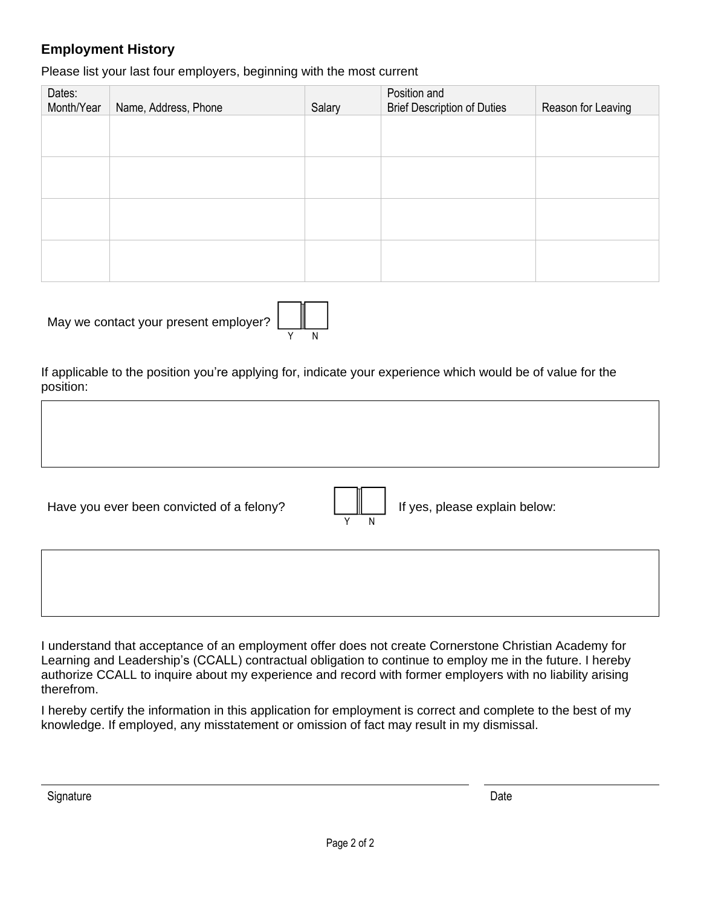## **Employment History**

Please list your last four employers, beginning with the most current

| Dates:<br>Month/Year | Name, Address, Phone | Salary | Position and<br><b>Brief Description of Duties</b> | Reason for Leaving |
|----------------------|----------------------|--------|----------------------------------------------------|--------------------|
|                      |                      |        |                                                    |                    |
|                      |                      |        |                                                    |                    |
|                      |                      |        |                                                    |                    |
|                      |                      |        |                                                    |                    |
|                      |                      |        |                                                    |                    |
|                      |                      |        |                                                    |                    |

| May we contact your present employer? |
|---------------------------------------|
|---------------------------------------|



If applicable to the position you're applying for, indicate your experience which would be of value for the position:

Have you ever been convicted of a felony?  $\|\|\|\$  If yes, please explain below:



I understand that acceptance of an employment offer does not create Cornerstone Christian Academy for Learning and Leadership's (CCALL) contractual obligation to continue to employ me in the future. I hereby authorize CCALL to inquire about my experience and record with former employers with no liability arising therefrom.

I hereby certify the information in this application for employment is correct and complete to the best of my knowledge. If employed, any misstatement or omission of fact may result in my dismissal.

Signature **Date**